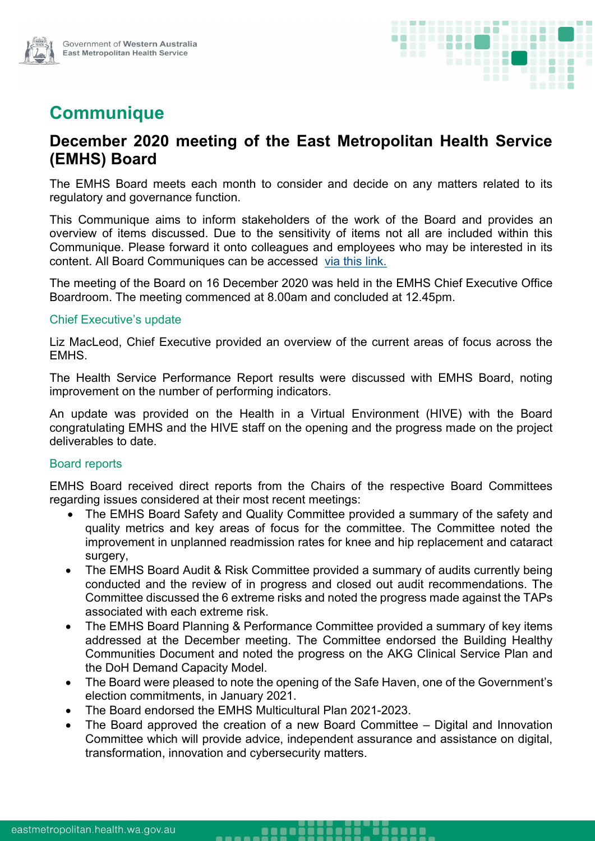

# **Communique**

## **December 2020 meeting of the East Metropolitan Health Service (EMHS) Board**

The EMHS Board meets each month to consider and decide on any matters related to its regulatory and governance function.

This Communique aims to inform stakeholders of the work of the Board and provides an overview of items discussed. Due to the sensitivity of items not all are included within this Communique. Please forward it onto colleagues and employees who may be interested in its content. All Board Communiques can be accessed [via this link.](https://emhs.health.wa.gov.au/About-Us/Health-Service-Board)

The meeting of the Board on 16 December 2020 was held in the EMHS Chief Executive Office Boardroom. The meeting commenced at 8.00am and concluded at 12.45pm.

#### Chief Executive's update

Liz MacLeod, Chief Executive provided an overview of the current areas of focus across the EMHS.

The Health Service Performance Report results were discussed with EMHS Board, noting improvement on the number of performing indicators.

An update was provided on the Health in a Virtual Environment (HIVE) with the Board congratulating EMHS and the HIVE staff on the opening and the progress made on the project deliverables to date.

#### Board reports

EMHS Board received direct reports from the Chairs of the respective Board Committees regarding issues considered at their most recent meetings:

- The EMHS Board Safety and Quality Committee provided a summary of the safety and quality metrics and key areas of focus for the committee. The Committee noted the improvement in unplanned readmission rates for knee and hip replacement and cataract surgery,
- The EMHS Board Audit & Risk Committee provided a summary of audits currently being conducted and the review of in progress and closed out audit recommendations. The Committee discussed the 6 extreme risks and noted the progress made against the TAPs associated with each extreme risk.
- The EMHS Board Planning & Performance Committee provided a summary of key items addressed at the December meeting. The Committee endorsed the Building Healthy Communities Document and noted the progress on the AKG Clinical Service Plan and the DoH Demand Capacity Model.
- The Board were pleased to note the opening of the Safe Haven, one of the Government's election commitments, in January 2021.
- The Board endorsed the EMHS Multicultural Plan 2021-2023.

-----

 The Board approved the creation of a new Board Committee – Digital and Innovation Committee which will provide advice, independent assurance and assistance on digital, transformation, innovation and cybersecurity matters.